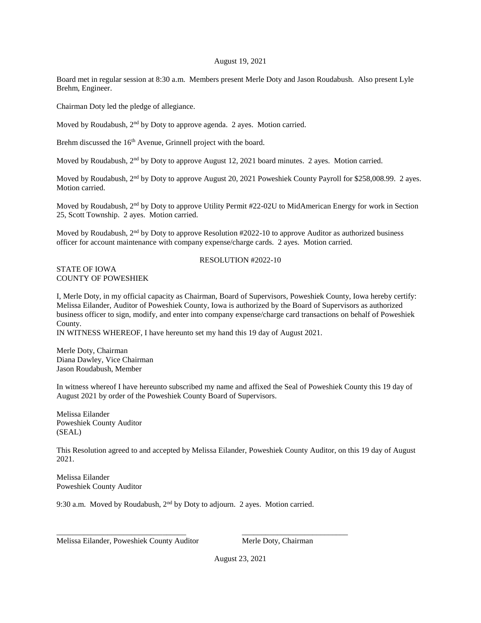## August 19, 2021

Board met in regular session at 8:30 a.m. Members present Merle Doty and Jason Roudabush. Also present Lyle Brehm, Engineer.

Chairman Doty led the pledge of allegiance.

Moved by Roudabush, 2<sup>nd</sup> by Doty to approve agenda. 2 ayes. Motion carried.

Brehm discussed the 16<sup>th</sup> Avenue, Grinnell project with the board.

Moved by Roudabush,  $2<sup>nd</sup>$  by Doty to approve August 12, 2021 board minutes. 2 ayes. Motion carried.

Moved by Roudabush, 2<sup>nd</sup> by Doty to approve August 20, 2021 Poweshiek County Payroll for \$258,008.99. 2 ayes. Motion carried.

Moved by Roudabush, 2<sup>nd</sup> by Doty to approve Utility Permit #22-02U to MidAmerican Energy for work in Section 25, Scott Township. 2 ayes. Motion carried.

Moved by Roudabush, 2<sup>nd</sup> by Doty to approve Resolution #2022-10 to approve Auditor as authorized business officer for account maintenance with company expense/charge cards. 2 ayes. Motion carried.

## STATE OF IOWA COUNTY OF POWESHIEK

## RESOLUTION #2022-10

I, Merle Doty, in my official capacity as Chairman, Board of Supervisors, Poweshiek County, Iowa hereby certify: Melissa Eilander, Auditor of Poweshiek County, Iowa is authorized by the Board of Supervisors as authorized business officer to sign, modify, and enter into company expense/charge card transactions on behalf of Poweshiek County.

IN WITNESS WHEREOF, I have hereunto set my hand this 19 day of August 2021.

Merle Doty, Chairman Diana Dawley, Vice Chairman Jason Roudabush, Member

In witness whereof I have hereunto subscribed my name and affixed the Seal of Poweshiek County this 19 day of August 2021 by order of the Poweshiek County Board of Supervisors.

Melissa Eilander Poweshiek County Auditor (SEAL)

This Resolution agreed to and accepted by Melissa Eilander, Poweshiek County Auditor, on this 19 day of August 2021.

Melissa Eilander Poweshiek County Auditor

9:30 a.m. Moved by Roudabush, 2<sup>nd</sup> by Doty to adjourn. 2 ayes. Motion carried.

\_\_\_\_\_\_\_\_\_\_\_\_\_\_\_\_\_\_\_\_\_\_\_\_\_\_\_\_\_\_\_\_\_ \_\_\_\_\_\_\_\_\_\_\_\_\_\_\_\_\_\_\_\_\_\_\_\_\_\_\_

Melissa Eilander, Poweshiek County Auditor Merle Doty, Chairman

August 23, 2021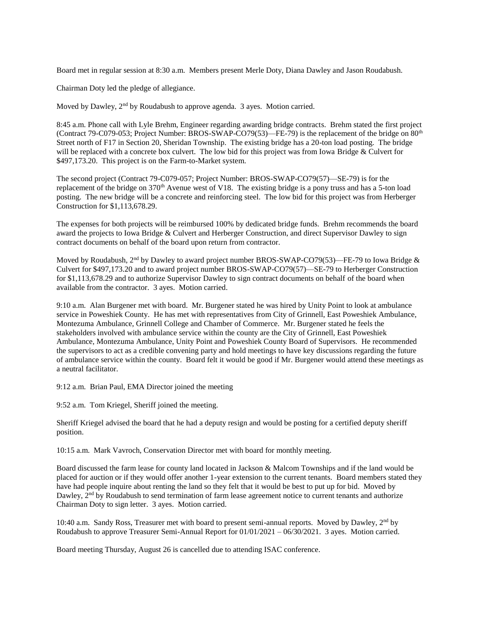Board met in regular session at 8:30 a.m. Members present Merle Doty, Diana Dawley and Jason Roudabush.

Chairman Doty led the pledge of allegiance.

Moved by Dawley,  $2<sup>nd</sup>$  by Roudabush to approve agenda. 3 ayes. Motion carried.

8:45 a.m. Phone call with Lyle Brehm, Engineer regarding awarding bridge contracts. Brehm stated the first project (Contract 79-C079-053; Project Number: BROS-SWAP-CO79(53)—FE-79) is the replacement of the bridge on 80<sup>th</sup> Street north of F17 in Section 20, Sheridan Township. The existing bridge has a 20-ton load posting. The bridge will be replaced with a concrete box culvert. The low bid for this project was from Iowa Bridge & Culvert for \$497,173.20. This project is on the Farm-to-Market system.

The second project (Contract 79-C079-057; Project Number: BROS-SWAP-CO79(57)—SE-79) is for the replacement of the bridge on 370<sup>th</sup> Avenue west of V18. The existing bridge is a pony truss and has a 5-ton load posting. The new bridge will be a concrete and reinforcing steel. The low bid for this project was from Herberger Construction for \$1,113,678.29.

The expenses for both projects will be reimbursed 100% by dedicated bridge funds. Brehm recommends the board award the projects to Iowa Bridge & Culvert and Herberger Construction, and direct Supervisor Dawley to sign contract documents on behalf of the board upon return from contractor.

Moved by Roudabush, 2<sup>nd</sup> by Dawley to award project number BROS-SWAP-CO79(53)—FE-79 to Iowa Bridge  $\&$ Culvert for \$497,173.20 and to award project number BROS-SWAP-CO79(57)—SE-79 to Herberger Construction for \$1,113,678.29 and to authorize Supervisor Dawley to sign contract documents on behalf of the board when available from the contractor. 3 ayes. Motion carried.

9:10 a.m. Alan Burgener met with board. Mr. Burgener stated he was hired by Unity Point to look at ambulance service in Poweshiek County. He has met with representatives from City of Grinnell, East Poweshiek Ambulance, Montezuma Ambulance, Grinnell College and Chamber of Commerce. Mr. Burgener stated he feels the stakeholders involved with ambulance service within the county are the City of Grinnell, East Poweshiek Ambulance, Montezuma Ambulance, Unity Point and Poweshiek County Board of Supervisors. He recommended the supervisors to act as a credible convening party and hold meetings to have key discussions regarding the future of ambulance service within the county. Board felt it would be good if Mr. Burgener would attend these meetings as a neutral facilitator.

9:12 a.m. Brian Paul, EMA Director joined the meeting

9:52 a.m. Tom Kriegel, Sheriff joined the meeting.

Sheriff Kriegel advised the board that he had a deputy resign and would be posting for a certified deputy sheriff position.

10:15 a.m. Mark Vavroch, Conservation Director met with board for monthly meeting.

Board discussed the farm lease for county land located in Jackson & Malcom Townships and if the land would be placed for auction or if they would offer another 1-year extension to the current tenants. Board members stated they have had people inquire about renting the land so they felt that it would be best to put up for bid. Moved by Dawley, 2<sup>nd</sup> by Roudabush to send termination of farm lease agreement notice to current tenants and authorize Chairman Doty to sign letter. 3 ayes. Motion carried.

10:40 a.m. Sandy Ross, Treasurer met with board to present semi-annual reports. Moved by Dawley, 2nd by Roudabush to approve Treasurer Semi-Annual Report for 01/01/2021 – 06/30/2021. 3 ayes. Motion carried.

Board meeting Thursday, August 26 is cancelled due to attending ISAC conference.